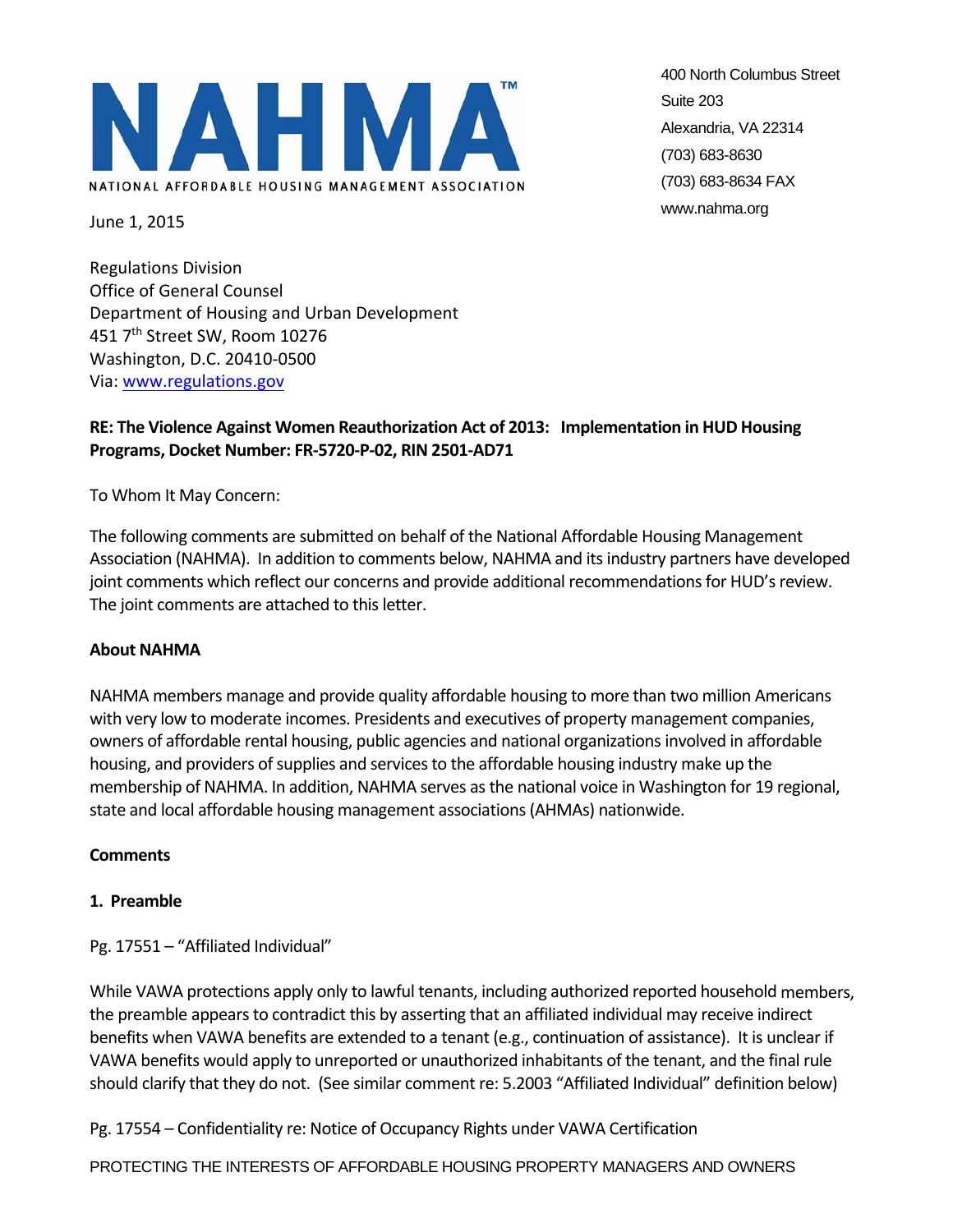

400 North Columbus Street Suite 203 Alexandria, VA 22314 (703) 683-8630 (703) 683-8634 FAX www.nahma.org

June 1, 2015

Regulations Division Office of General Counsel Department of Housing and Urban Development 451 7th Street SW, Room 10276 Washington, D.C. 20410‐0500 Via: www.regulations.gov

# **RE: The Violence Against Women Reauthorization Act of 2013: Implementation in HUD Housing Programs, Docket Number: FR‐5720‐P‐02, RIN 2501‐AD71**

To Whom It May Concern:

The following comments are submitted on behalf of the National Affordable Housing Management Association (NAHMA). In addition to comments below, NAHMA and itsindustry partners have developed joint comments which reflect our concerns and provide additional recommendations for HUD's review. The joint comments are attached to this letter.

#### **About NAHMA**

NAHMA members manage and provide quality affordable housing to more than two million Americans with very low to moderate incomes. Presidents and executives of property management companies, owners of affordable rental housing, public agencies and national organizationsinvolved in affordable housing, and providers of supplies and services to the affordable housing industry make up the membership of NAHMA. In addition, NAHMA serves as the national voice in Washington for 19 regional, state and local affordable housing management associations(AHMAs) nationwide.

#### **Comments**

#### **1. Preamble**

Pg. 17551 – "Affiliated Individual"

While VAWA protections apply only to lawful tenants, including authorized reported household members, the preamble appears to contradict this by asserting that an affiliated individual may receive indirect benefits when VAWA benefits are extended to a tenant (e.g., continuation of assistance). It is unclear if VAWA benefits would apply to unreported or unauthorized inhabitants of the tenant, and the final rule should clarify that they do not. (See similar comment re: 5.2003 "Affiliated Individual" definition below)

Pg. 17554 – Confidentiality re: Notice of Occupancy Rights under VAWA Certification

PROTECTING THE INTERESTS OF AFFORDABLE HOUSING PROPERTY MANAGERS AND OWNERS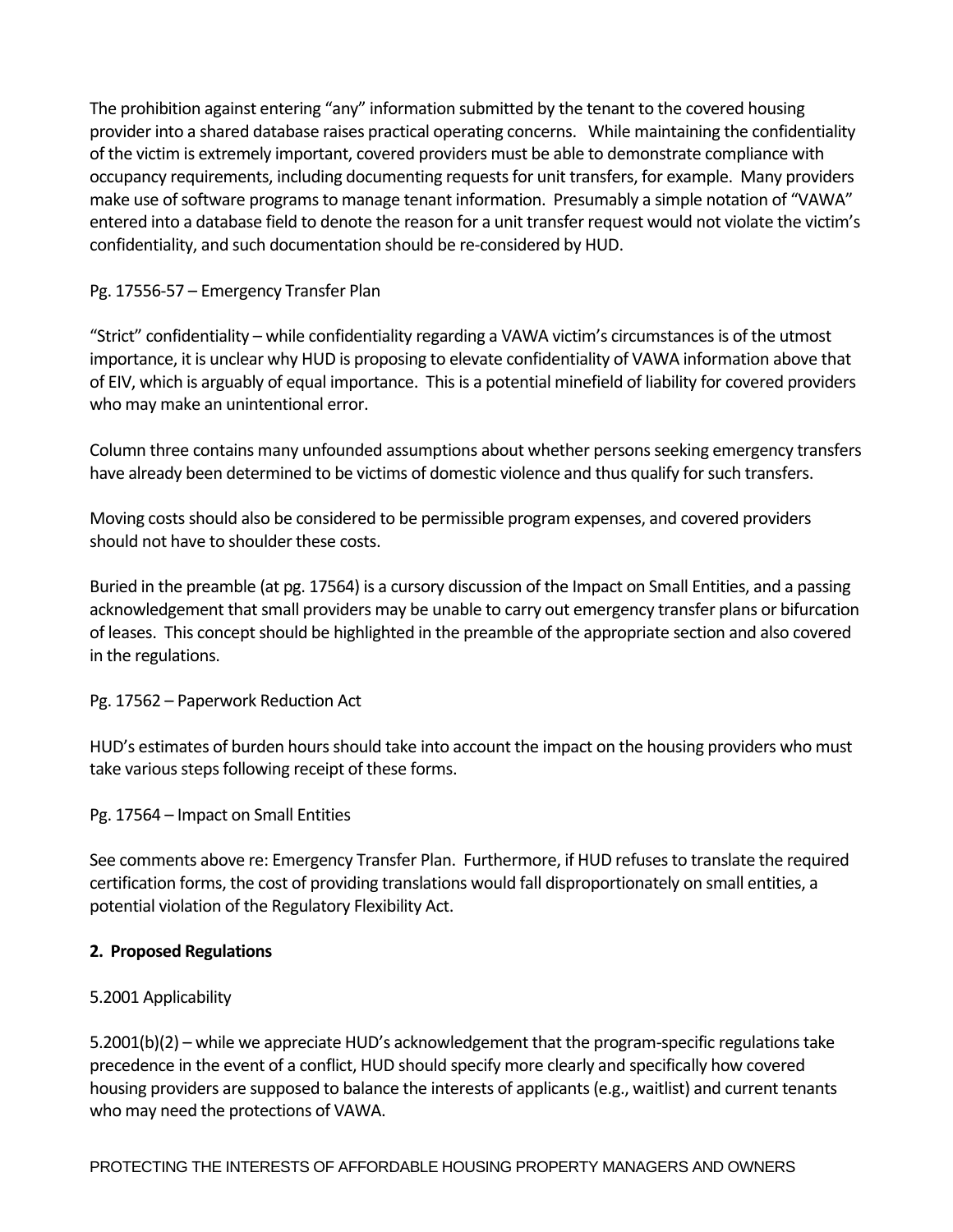The prohibition against entering "any" information submitted by the tenant to the covered housing provider into a shared database raises practical operating concerns. While maintaining the confidentiality of the victim is extremely important, covered providers must be able to demonstrate compliance with occupancy requirements, including documenting requestsfor unit transfers, for example. Many providers make use of software programs to manage tenant information. Presumably a simple notation of "VAWA" entered into a database field to denote the reason for a unit transfer request would not violate the victim's confidentiality, and such documentation should be re‐considered by HUD.

# Pg. 17556‐57 – Emergency Transfer Plan

"Strict" confidentiality – while confidentiality regarding a VAWA victim's circumstancesis of the utmost importance, it is unclear why HUD is proposing to elevate confidentiality of VAWA information above that of EIV, which is arguably of equal importance. Thisis a potential minefield of liability for covered providers who may make an unintentional error.

Column three contains many unfounded assumptions about whether persons seeking emergency transfers have already been determined to be victims of domestic violence and thus qualify for such transfers.

Moving costs should also be considered to be permissible program expenses, and covered providers should not have to shoulder these costs.

Buried in the preamble (at pg. 17564) is a cursory discussion of the Impact on Small Entities, and a passing acknowledgement that small providers may be unable to carry out emergency transfer plans or bifurcation of leases. This concept should be highlighted in the preamble of the appropriate section and also covered in the regulations.

Pg. 17562 – Paperwork Reduction Act

HUD's estimates of burden hours should take into account the impact on the housing providers who must take various steps following receipt of these forms.

# Pg. 17564 – Impact on Small Entities

See comments above re: Emergency Transfer Plan. Furthermore, if HUD refusesto translate the required certification forms, the cost of providing translations would fall disproportionately on small entities, a potential violation of the Regulatory Flexibility Act.

### **2. Proposed Regulations**

# 5.2001 Applicability

5.2001(b)(2) – while we appreciate HUD's acknowledgement that the program-specific regulations take precedence in the event of a conflict, HUD should specify more clearly and specifically how covered housing providers are supposed to balance the interests of applicants(e.g., waitlist) and current tenants who may need the protections of VAWA.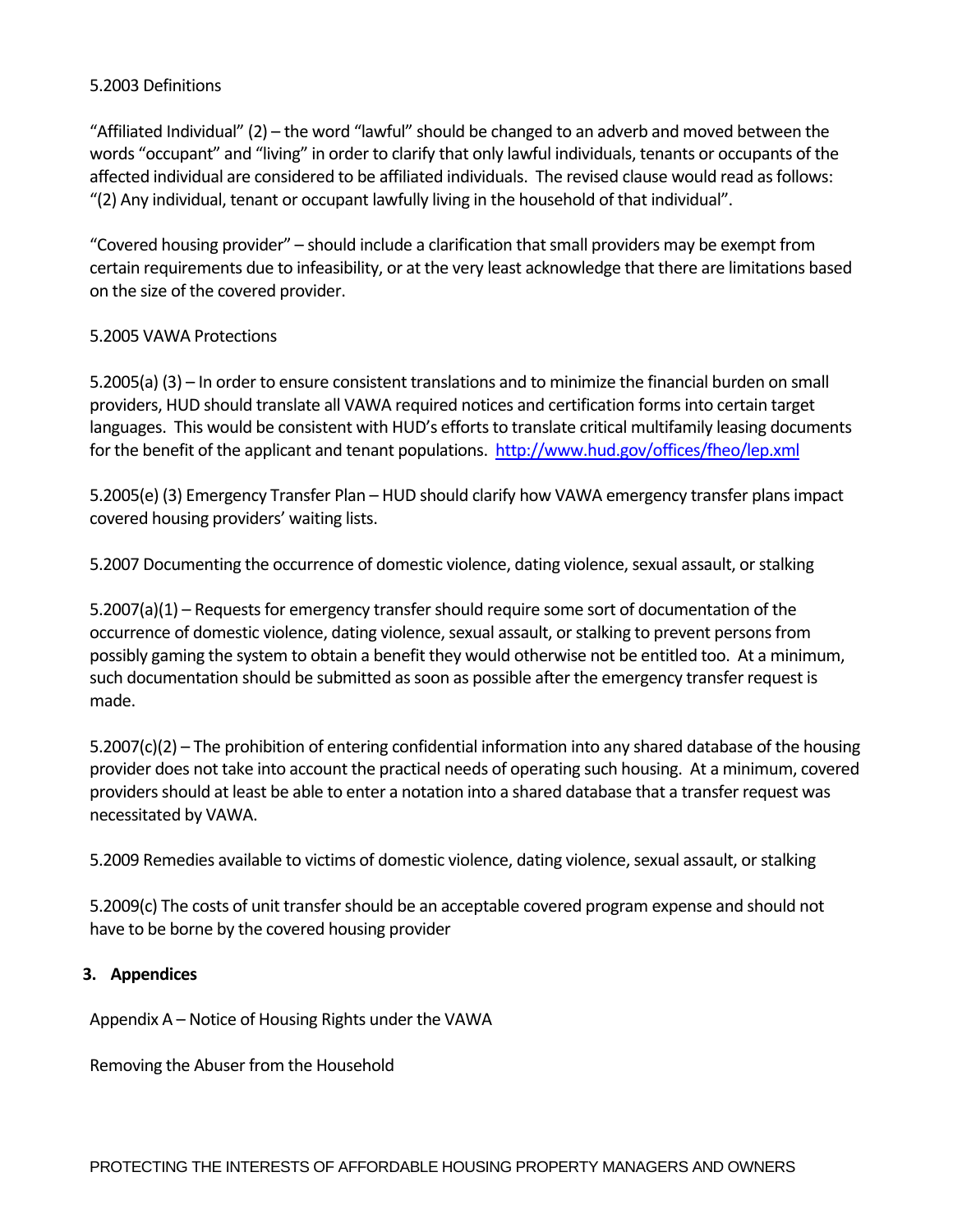### 5.2003 Definitions

"Affiliated Individual" (2) – the word "lawful" should be changed to an adverb and moved between the words "occupant" and "living" in order to clarify that only lawful individuals, tenants or occupants of the affected individual are considered to be affiliated individuals. The revised clause would read as follows: "(2) Any individual, tenant or occupant lawfully living in the household of that individual".

"Covered housing provider" – should include a clarification thatsmall providers may be exempt from certain requirements due to infeasibility, or at the very least acknowledge that there are limitations based on the size of the covered provider.

## 5.2005 VAWA Protections

5.2005(a) (3) – In order to ensure consistent translations and to minimize the financial burden on small providers, HUD should translate all VAWA required notices and certification formsinto certain target languages. This would be consistent with HUD's efforts to translate critical multifamily leasing documents for the benefit of the applicant and tenant populations. http://www.hud.gov/offices/fheo/lep.xml

5.2005(e) (3) Emergency Transfer Plan – HUD should clarify how VAWA emergency transfer plansimpact covered housing providers' waiting lists.

5.2007 Documenting the occurrence of domestic violence, dating violence, sexual assault, or stalking

 $5.2007(a)(1)$  – Requests for emergency transfer should require some sort of documentation of the occurrence of domestic violence, dating violence, sexual assault, or stalking to prevent persons from possibly gaming the system to obtain a benefit they would otherwise not be entitled too. At a minimum, such documentation should be submitted as soon as possible after the emergency transfer request is made.

5.2007(c)(2) – The prohibition of entering confidential information into any shared database of the housing provider does not take into account the practical needs of operating such housing. At a minimum, covered providersshould at least be able to enter a notation into a shared database that a transfer request was necessitated by VAWA.

5.2009 Remedies available to victims of domestic violence, dating violence, sexual assault, or stalking

5.2009(c) The costs of unit transfer should be an acceptable covered program expense and should not have to be borne by the covered housing provider

### **3. Appendices**

Appendix A – Notice of Housing Rights under the VAWA

Removing the Abuser from the Household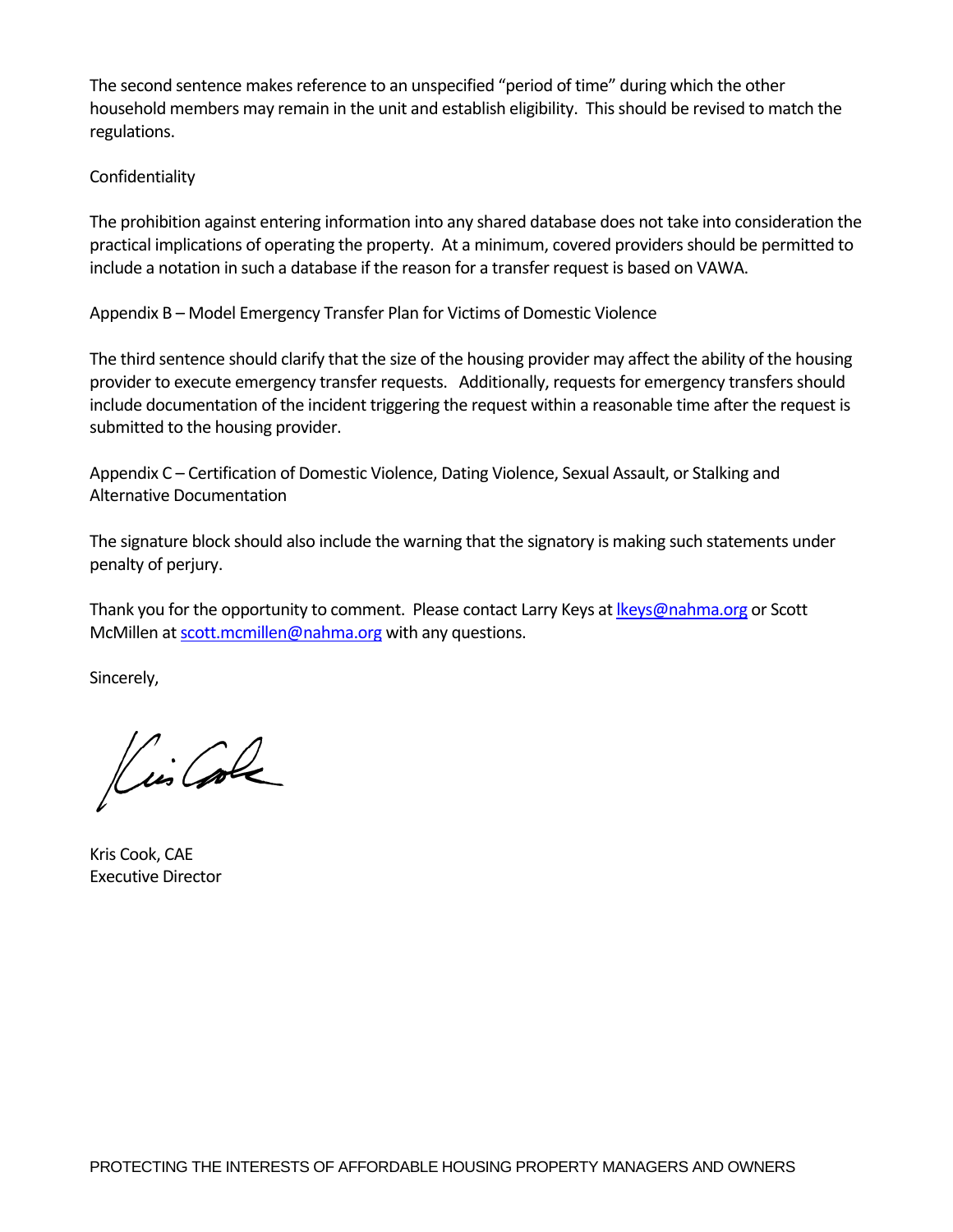The second sentence makes reference to an unspecified "period of time" during which the other household members may remain in the unit and establish eligibility. This should be revised to match the regulations.

## Confidentiality

The prohibition against entering information into any shared database does not take into consideration the practical implications of operating the property. At a minimum, covered providers should be permitted to include a notation in such a database if the reason for a transfer request is based on VAWA.

Appendix B – Model Emergency Transfer Plan for Victims of Domestic Violence

The third sentence should clarify that the size of the housing provider may affect the ability of the housing provider to execute emergency transfer requests. Additionally, requestsfor emergency transfersshould include documentation of the incident triggering the request within a reasonable time after the request is submitted to the housing provider.

Appendix C – Certification of Domestic Violence, Dating Violence, Sexual Assault, or Stalking and Alternative Documentation

The signature block should also include the warning that the signatory is making such statements under penalty of perjury.

Thank you for the opportunity to comment. Please contact Larry Keys at Ikeys@nahma.org or Scott McMillen at scott.mcmillen@nahma.org with any questions.

Sincerely,

Lis Cole

Kris Cook, CAE Executive Director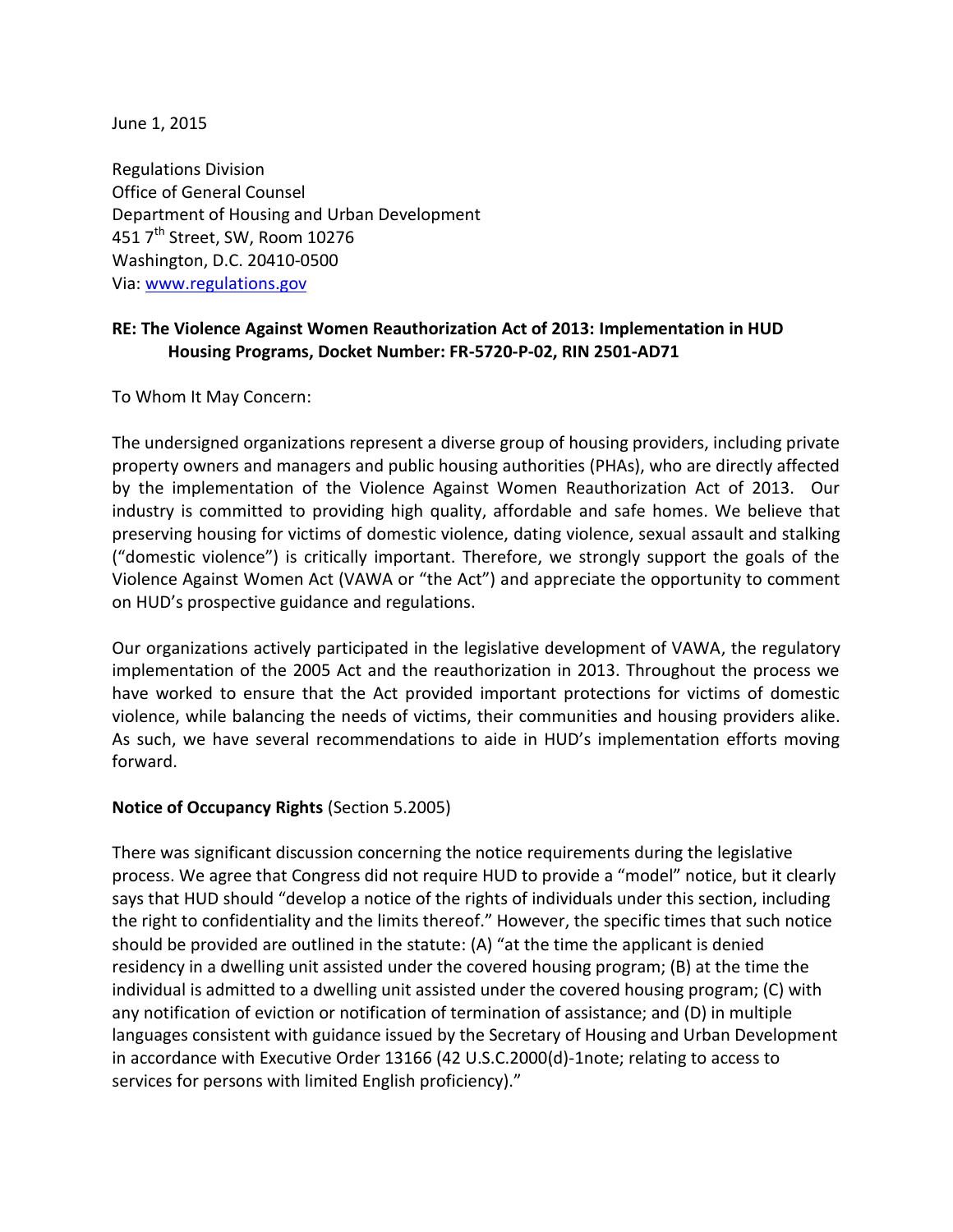June 1, 2015

Regulations Division Office of General Counsel Department of Housing and Urban Development 451 7<sup>th</sup> Street, SW, Room 10276 Washington, D.C. 20410-0500 Via: [www.regulations.gov](http://www.regulations.gov/)

# **RE: The Violence Against Women Reauthorization Act of 2013: Implementation in HUD Housing Programs, Docket Number: FR-5720-P-02, RIN 2501-AD71**

To Whom It May Concern:

The undersigned organizations represent a diverse group of housing providers, including private property owners and managers and public housing authorities (PHAs), who are directly affected by the implementation of the Violence Against Women Reauthorization Act of 2013. Our industry is committed to providing high quality, affordable and safe homes. We believe that preserving housing for victims of domestic violence, dating violence, sexual assault and stalking ("domestic violence") is critically important. Therefore, we strongly support the goals of the Violence Against Women Act (VAWA or "the Act") and appreciate the opportunity to comment on HUD's prospective guidance and regulations.

Our organizations actively participated in the legislative development of VAWA, the regulatory implementation of the 2005 Act and the reauthorization in 2013. Throughout the process we have worked to ensure that the Act provided important protections for victims of domestic violence, while balancing the needs of victims, their communities and housing providers alike. As such, we have several recommendations to aide in HUD's implementation efforts moving forward.

### **Notice of Occupancy Rights** (Section 5.2005)

There was significant discussion concerning the notice requirements during the legislative process. We agree that Congress did not require HUD to provide a "model" notice, but it clearly says that HUD should "develop a notice of the rights of individuals under this section, including the right to confidentiality and the limits thereof." However, the specific times that such notice should be provided are outlined in the statute: (A) "at the time the applicant is denied residency in a dwelling unit assisted under the covered housing program; (B) at the time the individual is admitted to a dwelling unit assisted under the covered housing program; (C) with any notification of eviction or notification of termination of assistance; and (D) in multiple languages consistent with guidance issued by the Secretary of Housing and Urban Development in accordance with Executive Order 13166 (42 U.S.C.2000(d)-1note; relating to access to services for persons with limited English proficiency)."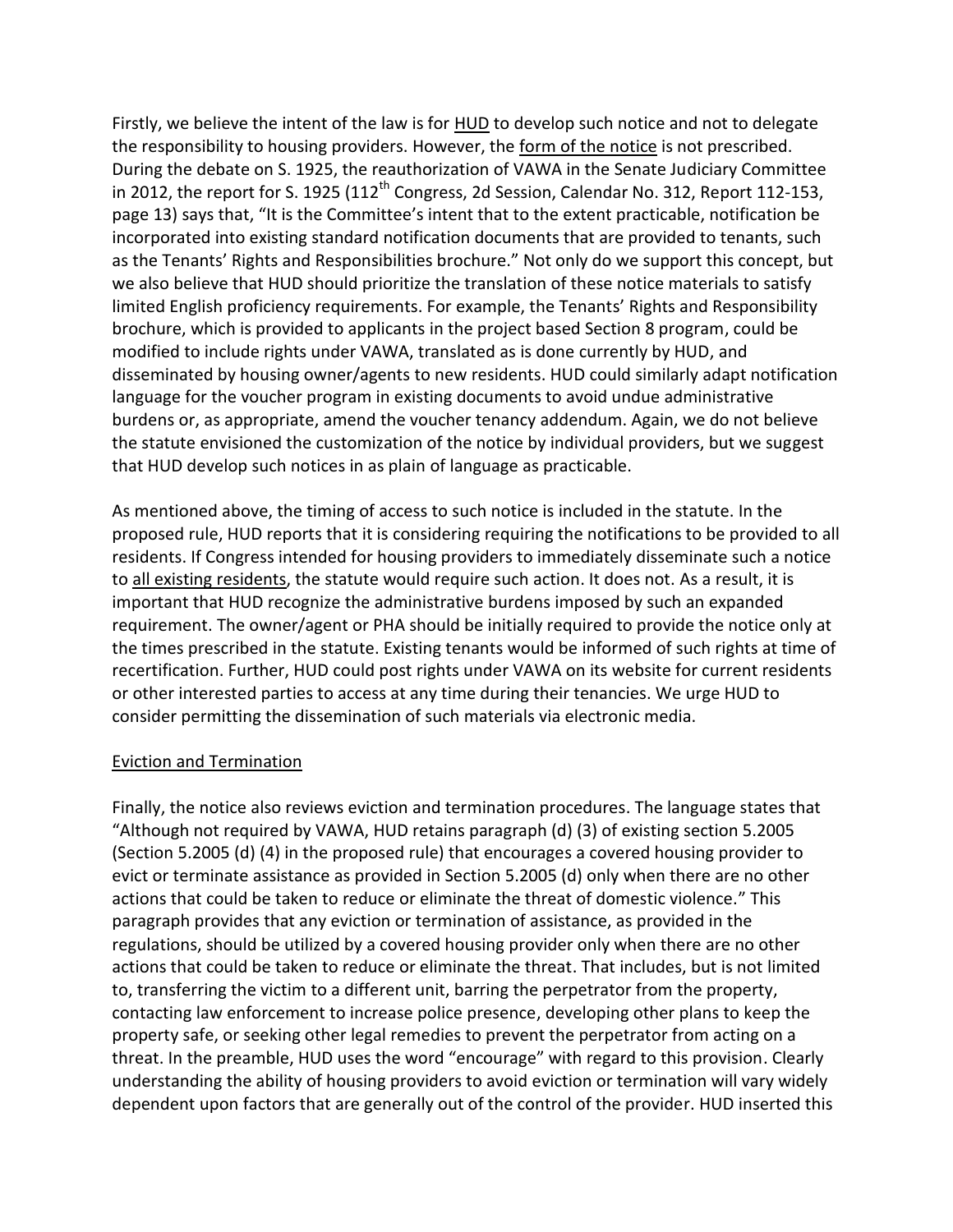Firstly, we believe the intent of the law is for HUD to develop such notice and not to delegate the responsibility to housing providers. However, the form of the notice is not prescribed. During the debate on S. 1925, the reauthorization of VAWA in the Senate Judiciary Committee in 2012, the report for S. 1925  $(112^{th}$  Congress, 2d Session, Calendar No. 312, Report 112-153, page 13) says that, "It is the Committee's intent that to the extent practicable, notification be incorporated into existing standard notification documents that are provided to tenants, such as the Tenants' Rights and Responsibilities brochure." Not only do we support this concept, but we also believe that HUD should prioritize the translation of these notice materials to satisfy limited English proficiency requirements. For example, the Tenants' Rights and Responsibility brochure, which is provided to applicants in the project based Section 8 program, could be modified to include rights under VAWA, translated as is done currently by HUD, and disseminated by housing owner/agents to new residents. HUD could similarly adapt notification language for the voucher program in existing documents to avoid undue administrative burdens or, as appropriate, amend the voucher tenancy addendum. Again, we do not believe the statute envisioned the customization of the notice by individual providers, but we suggest that HUD develop such notices in as plain of language as practicable.

As mentioned above, the timing of access to such notice is included in the statute. In the proposed rule, HUD reports that it is considering requiring the notifications to be provided to all residents. If Congress intended for housing providers to immediately disseminate such a notice to all existing residents, the statute would require such action. It does not. As a result, it is important that HUD recognize the administrative burdens imposed by such an expanded requirement. The owner/agent or PHA should be initially required to provide the notice only at the times prescribed in the statute. Existing tenants would be informed of such rights at time of recertification. Further, HUD could post rights under VAWA on its website for current residents or other interested parties to access at any time during their tenancies. We urge HUD to consider permitting the dissemination of such materials via electronic media.

### Eviction and Termination

Finally, the notice also reviews eviction and termination procedures. The language states that "Although not required by VAWA, HUD retains paragraph (d) (3) of existing section 5.2005 (Section 5.2005 (d) (4) in the proposed rule) that encourages a covered housing provider to evict or terminate assistance as provided in Section 5.2005 (d) only when there are no other actions that could be taken to reduce or eliminate the threat of domestic violence." This paragraph provides that any eviction or termination of assistance, as provided in the regulations, should be utilized by a covered housing provider only when there are no other actions that could be taken to reduce or eliminate the threat. That includes, but is not limited to, transferring the victim to a different unit, barring the perpetrator from the property, contacting law enforcement to increase police presence, developing other plans to keep the property safe, or seeking other legal remedies to prevent the perpetrator from acting on a threat. In the preamble, HUD uses the word "encourage" with regard to this provision. Clearly understanding the ability of housing providers to avoid eviction or termination will vary widely dependent upon factors that are generally out of the control of the provider. HUD inserted this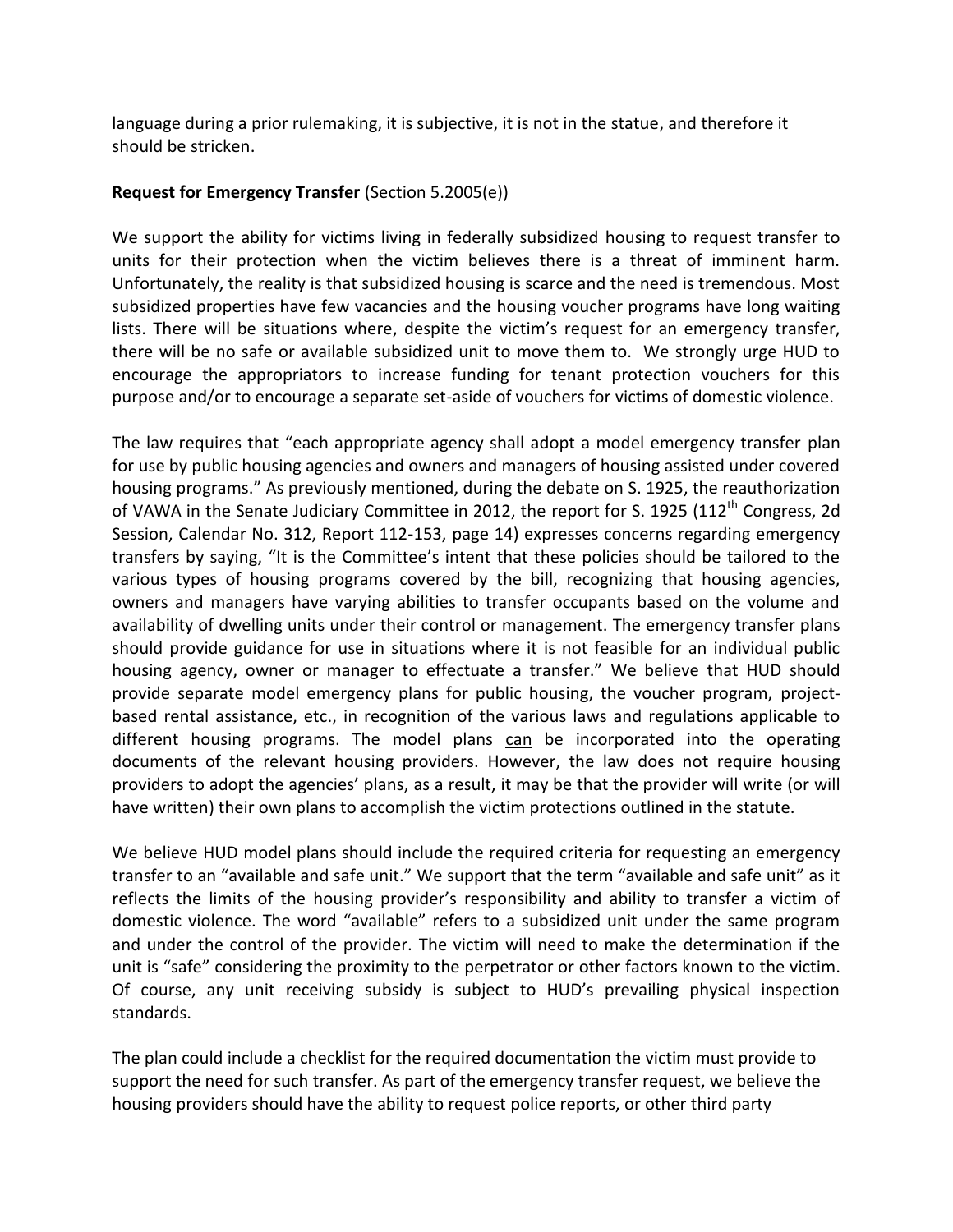language during a prior rulemaking, it is subjective, it is not in the statue, and therefore it should be stricken.

## **Request for Emergency Transfer** (Section 5.2005(e))

We support the ability for victims living in federally subsidized housing to request transfer to units for their protection when the victim believes there is a threat of imminent harm. Unfortunately, the reality is that subsidized housing is scarce and the need is tremendous. Most subsidized properties have few vacancies and the housing voucher programs have long waiting lists. There will be situations where, despite the victim's request for an emergency transfer, there will be no safe or available subsidized unit to move them to. We strongly urge HUD to encourage the appropriators to increase funding for tenant protection vouchers for this purpose and/or to encourage a separate set-aside of vouchers for victims of domestic violence.

The law requires that "each appropriate agency shall adopt a model emergency transfer plan for use by public housing agencies and owners and managers of housing assisted under covered housing programs." As previously mentioned, during the debate on S. 1925, the reauthorization of VAWA in the Senate Judiciary Committee in 2012, the report for S. 1925 (112<sup>th</sup> Congress, 2d Session, Calendar No. 312, Report 112-153, page 14) expresses concerns regarding emergency transfers by saying, "It is the Committee's intent that these policies should be tailored to the various types of housing programs covered by the bill, recognizing that housing agencies, owners and managers have varying abilities to transfer occupants based on the volume and availability of dwelling units under their control or management. The emergency transfer plans should provide guidance for use in situations where it is not feasible for an individual public housing agency, owner or manager to effectuate a transfer." We believe that HUD should provide separate model emergency plans for public housing, the voucher program, projectbased rental assistance, etc., in recognition of the various laws and regulations applicable to different housing programs. The model plans can be incorporated into the operating documents of the relevant housing providers. However, the law does not require housing providers to adopt the agencies' plans, as a result, it may be that the provider will write (or will have written) their own plans to accomplish the victim protections outlined in the statute.

We believe HUD model plans should include the required criteria for requesting an emergency transfer to an "available and safe unit." We support that the term "available and safe unit" as it reflects the limits of the housing provider's responsibility and ability to transfer a victim of domestic violence. The word "available" refers to a subsidized unit under the same program and under the control of the provider. The victim will need to make the determination if the unit is "safe" considering the proximity to the perpetrator or other factors known to the victim. Of course, any unit receiving subsidy is subject to HUD's prevailing physical inspection standards.

The plan could include a checklist for the required documentation the victim must provide to support the need for such transfer. As part of the emergency transfer request, we believe the housing providers should have the ability to request police reports, or other third party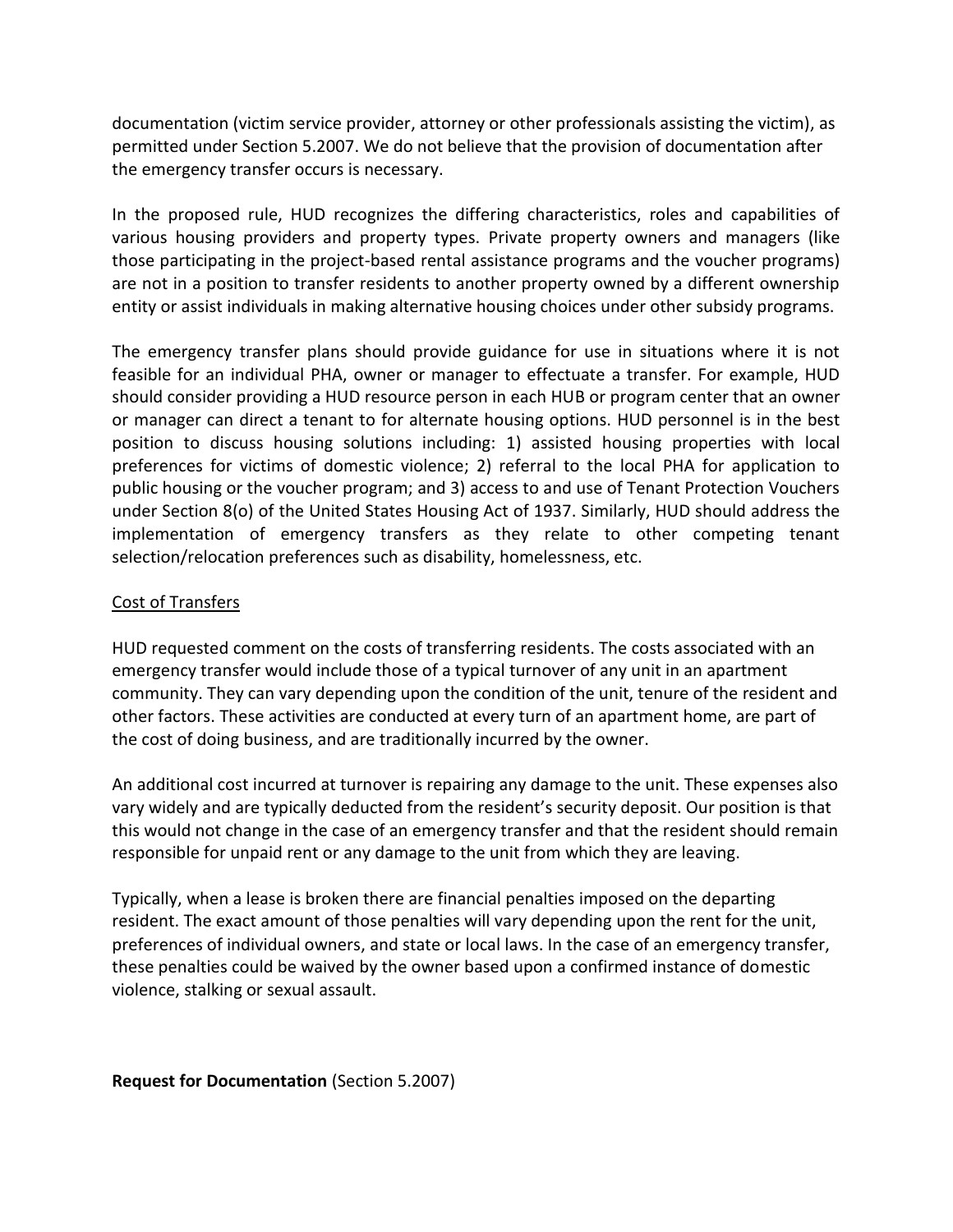documentation (victim service provider, attorney or other professionals assisting the victim), as permitted under Section 5.2007. We do not believe that the provision of documentation after the emergency transfer occurs is necessary.

In the proposed rule, HUD recognizes the differing characteristics, roles and capabilities of various housing providers and property types. Private property owners and managers (like those participating in the project-based rental assistance programs and the voucher programs) are not in a position to transfer residents to another property owned by a different ownership entity or assist individuals in making alternative housing choices under other subsidy programs.

The emergency transfer plans should provide guidance for use in situations where it is not feasible for an individual PHA, owner or manager to effectuate a transfer. For example, HUD should consider providing a HUD resource person in each HUB or program center that an owner or manager can direct a tenant to for alternate housing options. HUD personnel is in the best position to discuss housing solutions including: 1) assisted housing properties with local preferences for victims of domestic violence; 2) referral to the local PHA for application to public housing or the voucher program; and 3) access to and use of Tenant Protection Vouchers under Section 8(o) of the United States Housing Act of 1937. Similarly, HUD should address the implementation of emergency transfers as they relate to other competing tenant selection/relocation preferences such as disability, homelessness, etc.

## Cost of Transfers

HUD requested comment on the costs of transferring residents. The costs associated with an emergency transfer would include those of a typical turnover of any unit in an apartment community. They can vary depending upon the condition of the unit, tenure of the resident and other factors. These activities are conducted at every turn of an apartment home, are part of the cost of doing business, and are traditionally incurred by the owner.

An additional cost incurred at turnover is repairing any damage to the unit. These expenses also vary widely and are typically deducted from the resident's security deposit. Our position is that this would not change in the case of an emergency transfer and that the resident should remain responsible for unpaid rent or any damage to the unit from which they are leaving.

Typically, when a lease is broken there are financial penalties imposed on the departing resident. The exact amount of those penalties will vary depending upon the rent for the unit, preferences of individual owners, and state or local laws. In the case of an emergency transfer, these penalties could be waived by the owner based upon a confirmed instance of domestic violence, stalking or sexual assault.

**Request for Documentation** (Section 5.2007)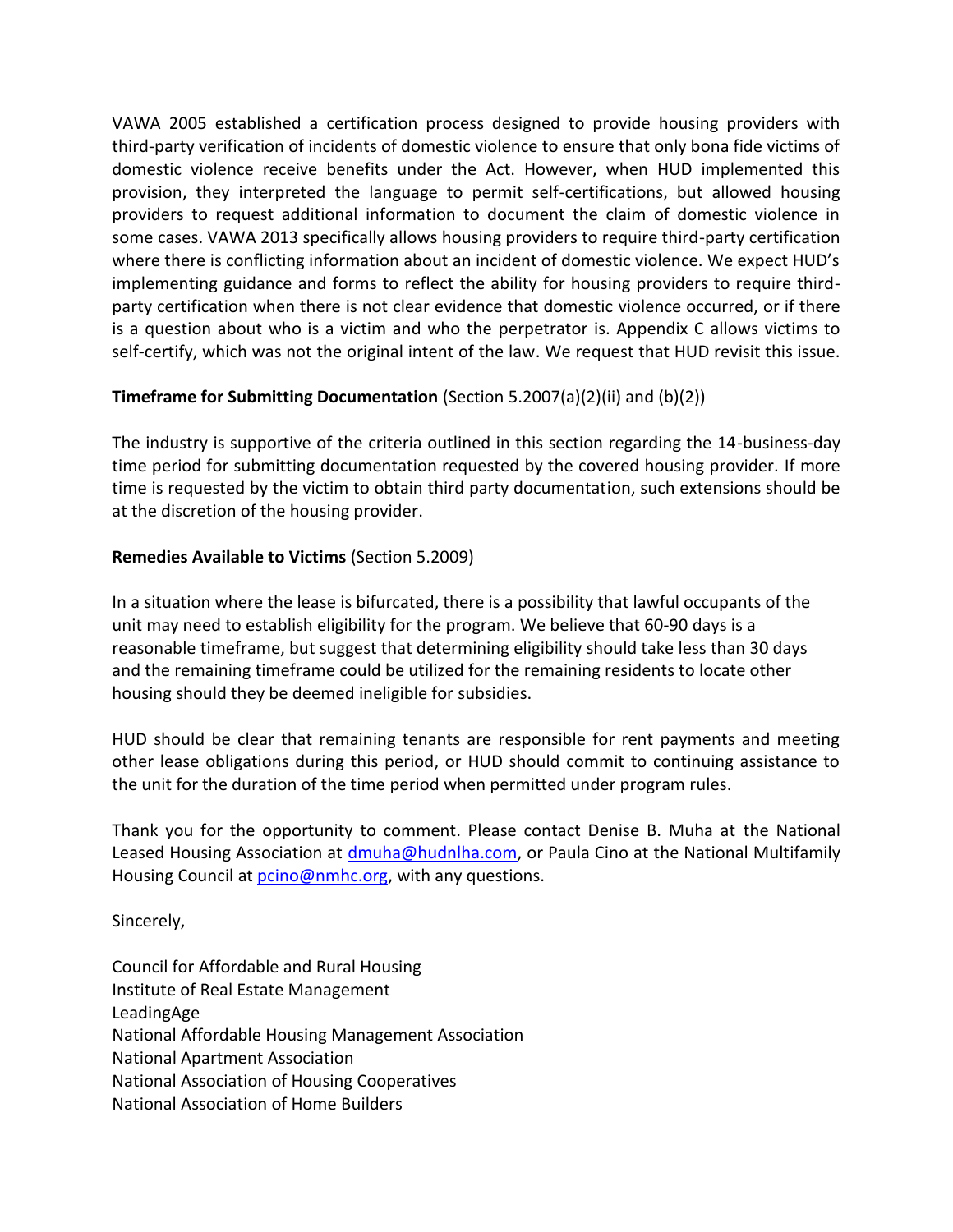VAWA 2005 established a certification process designed to provide housing providers with third-party verification of incidents of domestic violence to ensure that only bona fide victims of domestic violence receive benefits under the Act. However, when HUD implemented this provision, they interpreted the language to permit self-certifications, but allowed housing providers to request additional information to document the claim of domestic violence in some cases. VAWA 2013 specifically allows housing providers to require third-party certification where there is conflicting information about an incident of domestic violence. We expect HUD's implementing guidance and forms to reflect the ability for housing providers to require thirdparty certification when there is not clear evidence that domestic violence occurred, or if there is a question about who is a victim and who the perpetrator is. Appendix C allows victims to self-certify, which was not the original intent of the law. We request that HUD revisit this issue.

# **Timeframe for Submitting Documentation** (Section 5.2007(a)(2)(ii) and (b)(2))

The industry is supportive of the criteria outlined in this section regarding the 14-business-day time period for submitting documentation requested by the covered housing provider. If more time is requested by the victim to obtain third party documentation, such extensions should be at the discretion of the housing provider.

## **Remedies Available to Victims** (Section 5.2009)

In a situation where the lease is bifurcated, there is a possibility that lawful occupants of the unit may need to establish eligibility for the program. We believe that 60-90 days is a reasonable timeframe, but suggest that determining eligibility should take less than 30 days and the remaining timeframe could be utilized for the remaining residents to locate other housing should they be deemed ineligible for subsidies.

HUD should be clear that remaining tenants are responsible for rent payments and meeting other lease obligations during this period, or HUD should commit to continuing assistance to the unit for the duration of the time period when permitted under program rules.

Thank you for the opportunity to comment. Please contact Denise B. Muha at the National Leased Housing Association at [dmuha@hudnlha.com,](mailto:dmuha@hudnlha.com) or Paula Cino at the National Multifamily Housing Council at **pcino@nmhc.org**, with any questions.

Sincerely,

Council for Affordable and Rural Housing Institute of Real Estate Management LeadingAge National Affordable Housing Management Association National Apartment Association National Association of Housing Cooperatives National Association of Home Builders